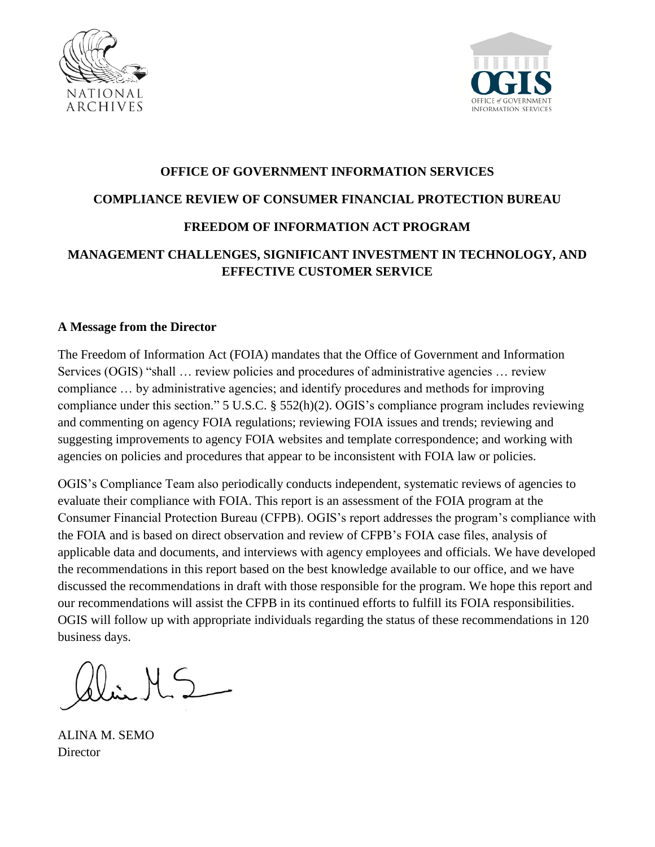



# **OFFICE OF GOVERNMENT INFORMATION SERVICES COMPLIANCE REVIEW OF CONSUMER FINANCIAL PROTECTION BUREAU FREEDOM OF INFORMATION ACT PROGRAM**

# **MANAGEMENT CHALLENGES, SIGNIFICANT INVESTMENT IN TECHNOLOGY, AND EFFECTIVE CUSTOMER SERVICE**

# **A Message from the Director**

The Freedom of Information Act (FOIA) mandates that the Office of Government and Information Services (OGIS) "shall … review policies and procedures of administrative agencies … review compliance … by administrative agencies; and identify procedures and methods for improving compliance under this section." 5 U.S.C. § 552(h)(2). OGIS's compliance program includes reviewing and commenting on agency FOIA regulations; reviewing FOIA issues and trends; reviewing and suggesting improvements to agency FOIA websites and template correspondence; and working with agencies on policies and procedures that appear to be inconsistent with FOIA law or policies.

OGIS's Compliance Team also periodically conducts independent, systematic reviews of agencies to evaluate their compliance with FOIA. This report is an assessment of the FOIA program at the Consumer Financial Protection Bureau (CFPB). OGIS's report addresses the program's compliance with the FOIA and is based on direct observation and review of CFPB's FOIA case files, analysis of applicable data and documents, and interviews with agency employees and officials. We have developed the recommendations in this report based on the best knowledge available to our office, and we have discussed the recommendations in draft with those responsible for the program. We hope this report and our recommendations will assist the CFPB in its continued efforts to fulfill its FOIA responsibilities. OGIS will follow up with appropriate individuals regarding the status of these recommendations in 120 business days.

 $MS_{-}$ 

ALINA M. SEMO **Director**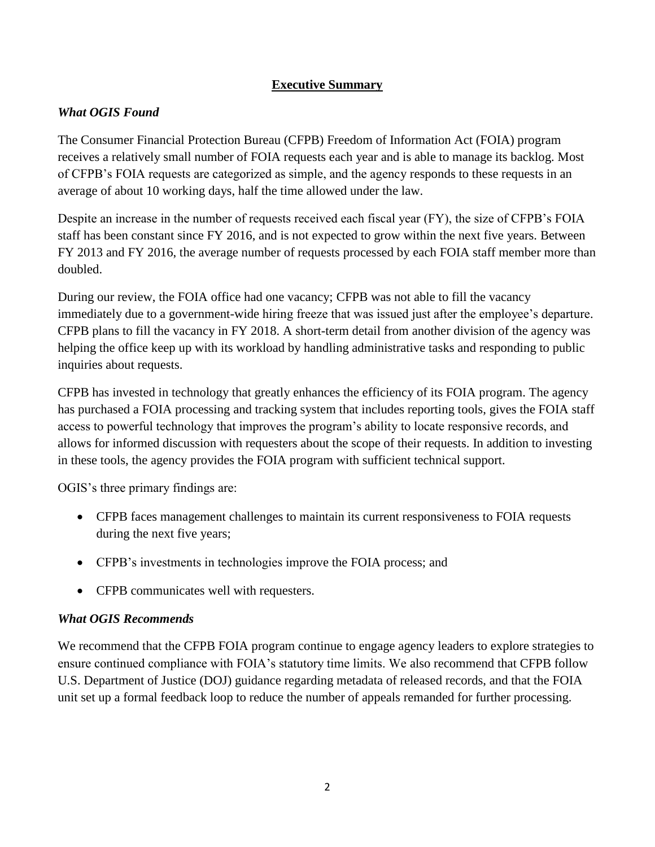# **Executive Summary**

# *What OGIS Found*

The Consumer Financial Protection Bureau (CFPB) Freedom of Information Act (FOIA) program receives a relatively small number of FOIA requests each year and is able to manage its backlog. Most of CFPB's FOIA requests are categorized as simple, and the agency responds to these requests in an average of about 10 working days, half the time allowed under the law.

Despite an increase in the number of requests received each fiscal year (FY), the size of CFPB's FOIA staff has been constant since FY 2016, and is not expected to grow within the next five years. Between FY 2013 and FY 2016, the average number of requests processed by each FOIA staff member more than doubled.

During our review, the FOIA office had one vacancy; CFPB was not able to fill the vacancy immediately due to a government-wide hiring freeze that was issued just after the employee's departure. CFPB plans to fill the vacancy in FY 2018. A short-term detail from another division of the agency was helping the office keep up with its workload by handling administrative tasks and responding to public inquiries about requests.

CFPB has invested in technology that greatly enhances the efficiency of its FOIA program. The agency has purchased a FOIA processing and tracking system that includes reporting tools, gives the FOIA staff access to powerful technology that improves the program's ability to locate responsive records, and allows for informed discussion with requesters about the scope of their requests. In addition to investing in these tools, the agency provides the FOIA program with sufficient technical support.

OGIS's three primary findings are:

- CFPB faces management challenges to maintain its current responsiveness to FOIA requests during the next five years;
- CFPB's investments in technologies improve the FOIA process; and
- CFPB communicates well with requesters.

# *What OGIS Recommends*

We recommend that the CFPB FOIA program continue to engage agency leaders to explore strategies to ensure continued compliance with FOIA's statutory time limits. We also recommend that CFPB follow U.S. Department of Justice (DOJ) guidance regarding metadata of released records, and that the FOIA unit set up a formal feedback loop to reduce the number of appeals remanded for further processing.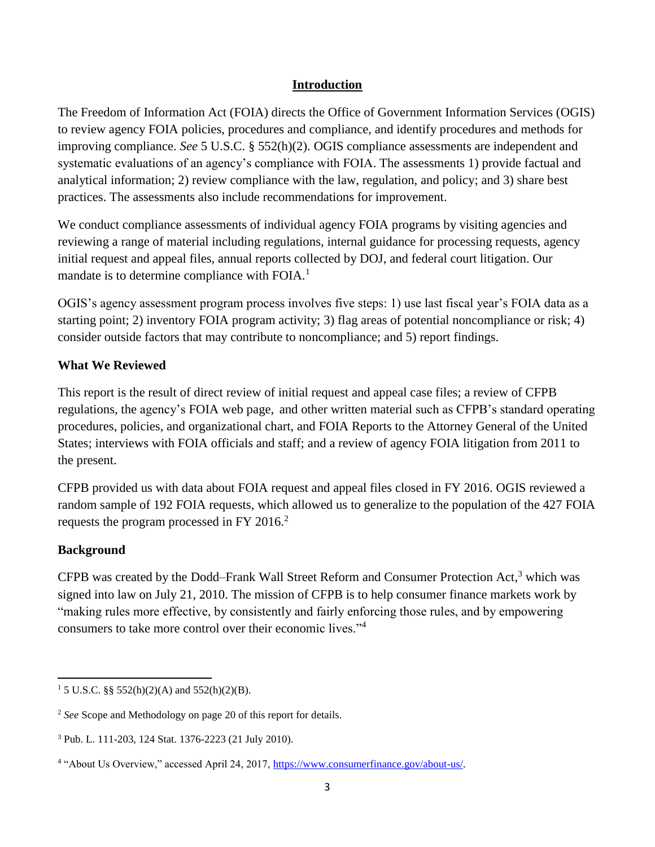# **Introduction**

The Freedom of Information Act (FOIA) directs the Office of Government Information Services (OGIS) to review agency FOIA policies, procedures and compliance, and identify procedures and methods for improving compliance. *See* 5 U.S.C. § 552(h)(2). OGIS compliance assessments are independent and systematic evaluations of an agency's compliance with FOIA. The assessments 1) provide factual and analytical information; 2) review compliance with the law, regulation, and policy; and 3) share best practices. The assessments also include recommendations for improvement.

We conduct compliance assessments of individual agency FOIA programs by visiting agencies and reviewing a range of material including regulations, internal guidance for processing requests, agency initial request and appeal files, annual reports collected by DOJ, and federal court litigation. Our mandate is to determine compliance with FOIA.<sup>1</sup>

OGIS's agency assessment program process involves five steps: 1) use last fiscal year's FOIA data as a starting point; 2) inventory FOIA program activity; 3) flag areas of potential noncompliance or risk; 4) consider outside factors that may contribute to noncompliance; and 5) report findings.

# **What We Reviewed**

This report is the result of direct review of initial request and appeal case files; a review of CFPB regulations, the agency's FOIA web page, and other written material such as CFPB's standard operating procedures, policies, and organizational chart, and FOIA Reports to the Attorney General of the United States; interviews with FOIA officials and staff; and a review of agency FOIA litigation from 2011 to the present.

CFPB provided us with data about FOIA request and appeal files closed in FY 2016. OGIS reviewed a random sample of 192 FOIA requests, which allowed us to generalize to the population of the 427 FOIA requests the program processed in FY 2016.<sup>2</sup>

# **Background**

CFPB was created by the Dodd–Frank Wall Street Reform and Consumer Protection Act,<sup>3</sup> which was signed into law on July 21, 2010. The mission of CFPB is to help consumer finance markets work by "making rules more effective, by consistently and fairly enforcing those rules, and by empowering consumers to take more control over their economic lives."<sup>4</sup>

 $\overline{\phantom{a}}$ <sup>1</sup> 5 U.S.C. §§ 552(h)(2)(A) and 552(h)(2)(B).

<sup>2</sup> *See* Scope and Methodology on page 20 of this report for details.

<sup>3</sup> Pub. L. 111-203, 124 Stat. 1376-2223 (21 July 2010).

<sup>&</sup>lt;sup>4</sup> "About Us Overview," accessed April 24, 2017, [https://www.consumerfinance.gov/about-us/.](https://www.consumerfinance.gov/about-us/)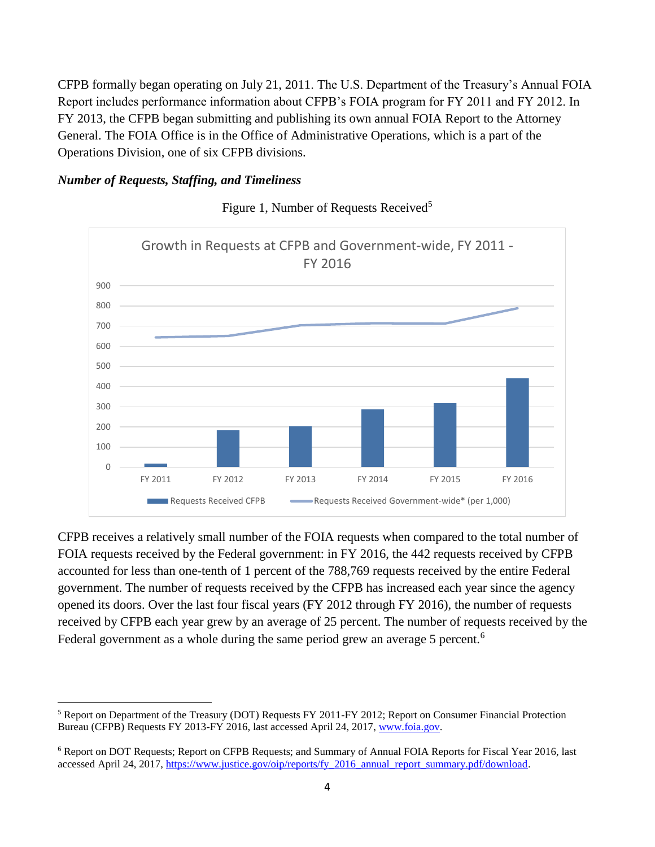CFPB formally began operating on July 21, 2011. The U.S. Department of the Treasury's Annual FOIA Report includes performance information about CFPB's FOIA program for FY 2011 and FY 2012. In FY 2013, the CFPB began submitting and publishing its own annual FOIA Report to the Attorney General. The FOIA Office is in the Office of Administrative Operations, which is a part of the Operations Division, one of six CFPB divisions.

#### *Number of Requests, Staffing, and Timeliness*



Figure 1, Number of Requests Received<sup>5</sup>

CFPB receives a relatively small number of the FOIA requests when compared to the total number of FOIA requests received by the Federal government: in FY 2016, the 442 requests received by CFPB accounted for less than one-tenth of 1 percent of the 788,769 requests received by the entire Federal government. The number of requests received by the CFPB has increased each year since the agency opened its doors. Over the last four fiscal years (FY 2012 through FY 2016), the number of requests received by CFPB each year grew by an average of 25 percent. The number of requests received by the Federal government as a whole during the same period grew an average 5 percent.<sup>6</sup>

 $\overline{a}$ <sup>5</sup> Report on Department of the Treasury (DOT) Requests FY 2011-FY 2012; Report on Consumer Financial Protection Bureau (CFPB) Requests FY 2013-FY 2016, last accessed April 24, 2017, [www.foia.gov.](http://www.foia.gov/)

<sup>6</sup> Report on DOT Requests; Report on CFPB Requests; and Summary of Annual FOIA Reports for Fiscal Year 2016, last accessed April 24, 2017, [https://www.justice.gov/oip/reports/fy\\_2016\\_annual\\_report\\_summary.pdf/download.](https://www.justice.gov/oip/reports/fy_2016_annual_report_summary.pdf/download)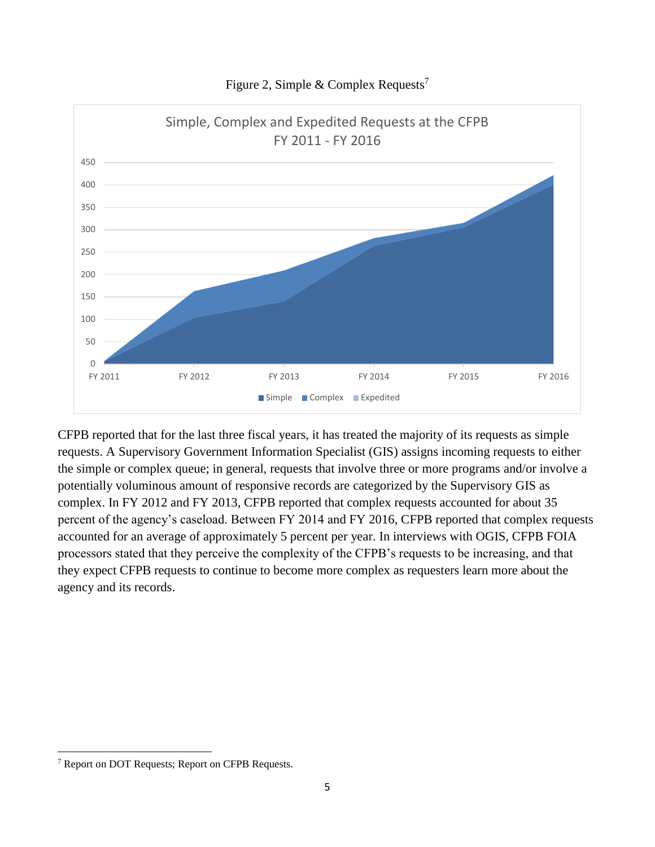

Figure 2, Simple & Complex Requests<sup>7</sup>

CFPB reported that for the last three fiscal years, it has treated the majority of its requests as simple requests. A Supervisory Government Information Specialist (GIS) assigns incoming requests to either the simple or complex queue; in general, requests that involve three or more programs and/or involve a potentially voluminous amount of responsive records are categorized by the Supervisory GIS as complex. In FY 2012 and FY 2013, CFPB reported that complex requests accounted for about 35 percent of the agency's caseload. Between FY 2014 and FY 2016, CFPB reported that complex requests accounted for an average of approximately 5 percent per year. In interviews with OGIS, CFPB FOIA processors stated that they perceive the complexity of the CFPB's requests to be increasing, and that they expect CFPB requests to continue to become more complex as requesters learn more about the agency and its records.

 $\overline{\phantom{a}}$ 

<sup>7</sup> Report on DOT Requests; Report on CFPB Requests.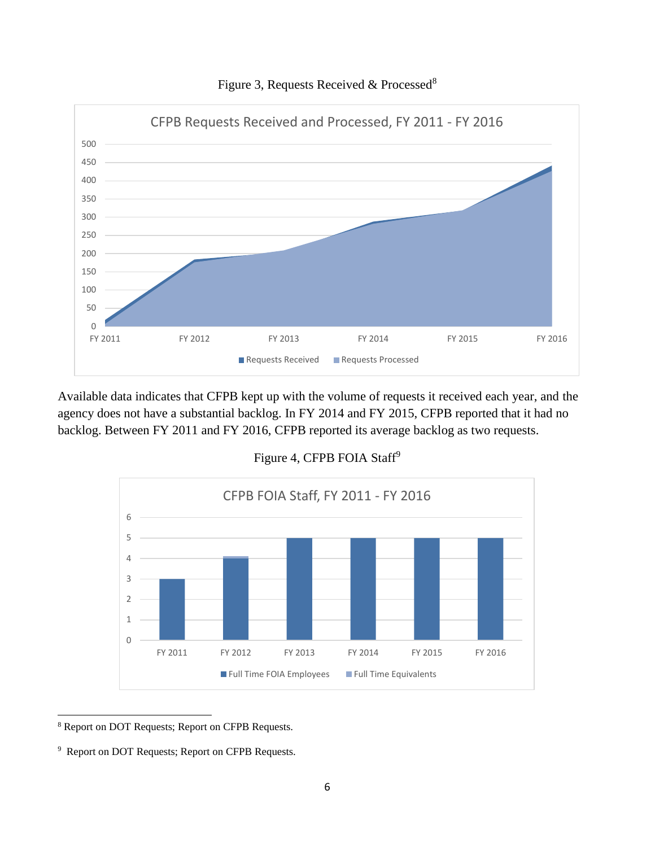

Figure 3, Requests Received & Processed<sup>8</sup>

Available data indicates that CFPB kept up with the volume of requests it received each year, and the agency does not have a substantial backlog. In FY 2014 and FY 2015, CFPB reported that it had no backlog. Between FY 2011 and FY 2016, CFPB reported its average backlog as two requests.





 $\overline{\phantom{a}}$ Report on DOT Requests; Report on CFPB Requests.

Report on DOT Requests; Report on CFPB Requests.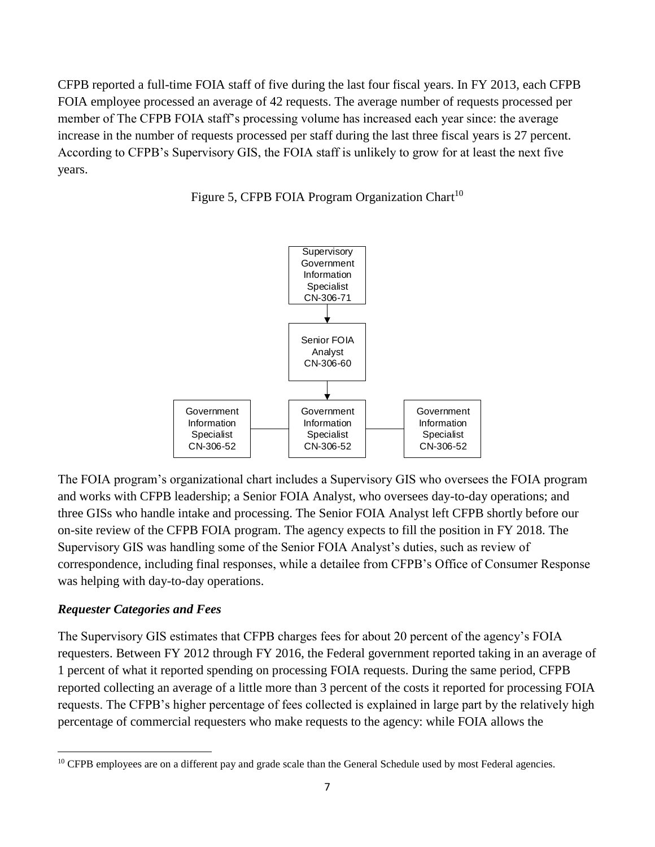CFPB reported a full-time FOIA staff of five during the last four fiscal years. In FY 2013, each CFPB FOIA employee processed an average of 42 requests. The average number of requests processed per member of The CFPB FOIA staff's processing volume has increased each year since: the average increase in the number of requests processed per staff during the last three fiscal years is 27 percent. According to CFPB's Supervisory GIS, the FOIA staff is unlikely to grow for at least the next five years.





The FOIA program's organizational chart includes a Supervisory GIS who oversees the FOIA program and works with CFPB leadership; a Senior FOIA Analyst, who oversees day-to-day operations; and three GISs who handle intake and processing. The Senior FOIA Analyst left CFPB shortly before our on-site review of the CFPB FOIA program. The agency expects to fill the position in FY 2018. The Supervisory GIS was handling some of the Senior FOIA Analyst's duties, such as review of correspondence, including final responses, while a detailee from CFPB's Office of Consumer Response was helping with day-to-day operations.

# *Requester Categories and Fees*

 $\overline{\phantom{a}}$ 

The Supervisory GIS estimates that CFPB charges fees for about 20 percent of the agency's FOIA requesters. Between FY 2012 through FY 2016, the Federal government reported taking in an average of 1 percent of what it reported spending on processing FOIA requests. During the same period, CFPB reported collecting an average of a little more than 3 percent of the costs it reported for processing FOIA requests. The CFPB's higher percentage of fees collected is explained in large part by the relatively high percentage of commercial requesters who make requests to the agency: while FOIA allows the

<sup>&</sup>lt;sup>10</sup> CFPB employees are on a different pay and grade scale than the General Schedule used by most Federal agencies.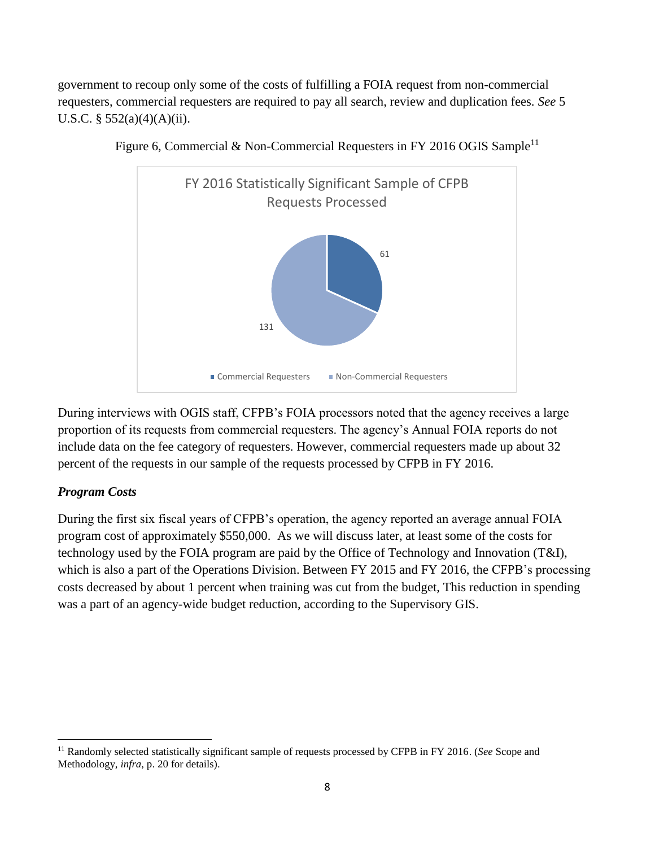government to recoup only some of the costs of fulfilling a FOIA request from non-commercial requesters, commercial requesters are required to pay all search, review and duplication fees. *See* 5 U.S.C.  $\S$  552(a)(4)(A)(ii).



Figure 6, Commercial & Non-Commercial Requesters in FY 2016 OGIS Sample<sup>11</sup>

During interviews with OGIS staff, CFPB's FOIA processors noted that the agency receives a large proportion of its requests from commercial requesters. The agency's Annual FOIA reports do not include data on the fee category of requesters. However, commercial requesters made up about 32 percent of the requests in our sample of the requests processed by CFPB in FY 2016.

#### *Program Costs*

 $\overline{\phantom{a}}$ 

During the first six fiscal years of CFPB's operation, the agency reported an average annual FOIA program cost of approximately \$550,000. As we will discuss later, at least some of the costs for technology used by the FOIA program are paid by the Office of Technology and Innovation (T&I), which is also a part of the Operations Division. Between FY 2015 and FY 2016, the CFPB's processing costs decreased by about 1 percent when training was cut from the budget, This reduction in spending was a part of an agency-wide budget reduction, according to the Supervisory GIS.

<sup>&</sup>lt;sup>11</sup> Randomly selected statistically significant sample of requests processed by CFPB in FY 2016. (*See* Scope and Methodology, *infra*, p. 20 for details).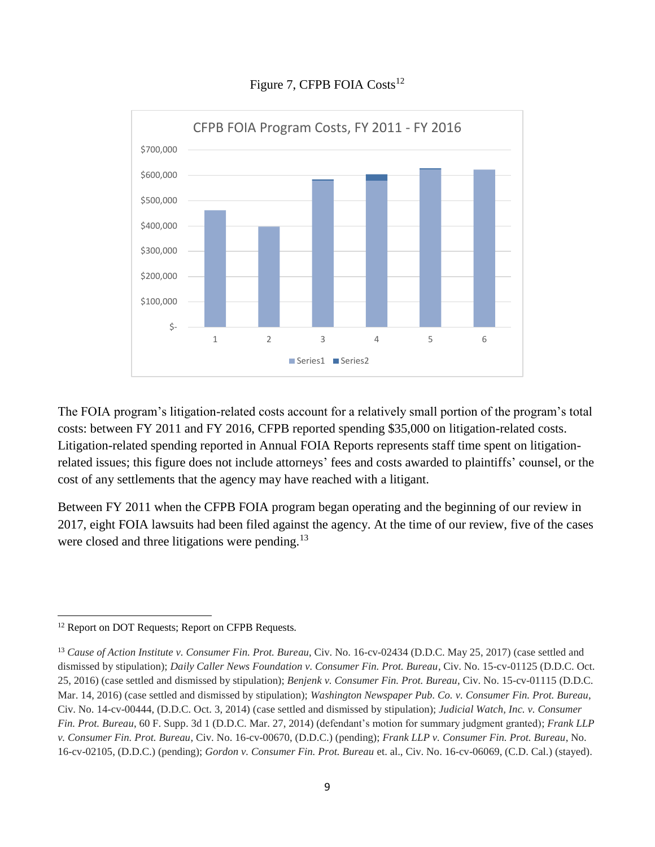

# Figure 7, CFPB FOIA Costs<sup>12</sup>

The FOIA program's litigation-related costs account for a relatively small portion of the program's total costs: between FY 2011 and FY 2016, CFPB reported spending \$35,000 on litigation-related costs. Litigation-related spending reported in Annual FOIA Reports represents staff time spent on litigationrelated issues; this figure does not include attorneys' fees and costs awarded to plaintiffs' counsel, or the cost of any settlements that the agency may have reached with a litigant.

Between FY 2011 when the CFPB FOIA program began operating and the beginning of our review in 2017, eight FOIA lawsuits had been filed against the agency. At the time of our review, five of the cases were closed and three litigations were pending.<sup>13</sup>

l <sup>12</sup> Report on DOT Requests; Report on CFPB Requests.

<sup>13</sup> *Cause of Action Institute v. Consumer Fin. Prot. Bureau*, Civ. No. 16-cv-02434 (D.D.C. May 25, 2017) (case settled and dismissed by stipulation); *Daily Caller News Foundation v. Consumer Fin. Prot. Bureau*, Civ. No. 15-cv-01125 (D.D.C. Oct. 25, 2016) (case settled and dismissed by stipulation); *Benjenk v. Consumer Fin. Prot. Bureau*, Civ. No. 15-cv-01115 (D.D.C. Mar. 14, 2016) (case settled and dismissed by stipulation); *Washington Newspaper Pub. Co. v. Consumer Fin. Prot. Bureau*, Civ. No. 14-cv-00444, (D.D.C. Oct. 3, 2014) (case settled and dismissed by stipulation); *Judicial Watch, Inc. v. Consumer Fin. Prot. Bureau*, 60 F. Supp. 3d 1 (D.D.C. Mar. 27, 2014) (defendant's motion for summary judgment granted); *Frank LLP v. Consumer Fin. Prot. Bureau*, Civ. No. 16-cv-00670, (D.D.C.) (pending); *Frank LLP v. Consumer Fin. Prot. Bureau*, No. 16-cv-02105, (D.D.C.) (pending); *Gordon v. Consumer Fin. Prot. Bureau* et. al., Civ. No. 16-cv-06069, (C.D. Cal.) (stayed).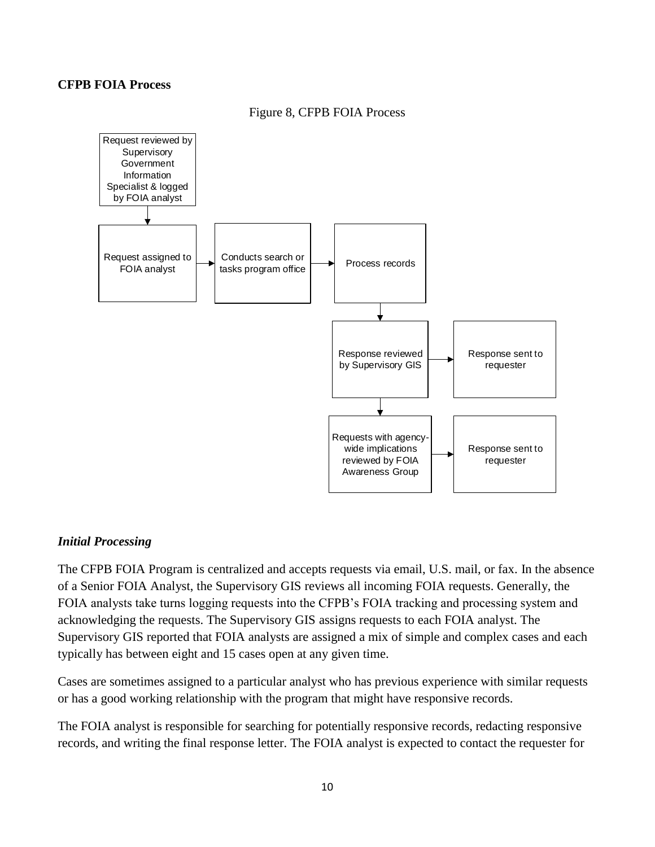#### **CFPB FOIA Process**



#### Figure 8, CFPB FOIA Process

# *Initial Processing*

The CFPB FOIA Program is centralized and accepts requests via email, U.S. mail, or fax. In the absence of a Senior FOIA Analyst, the Supervisory GIS reviews all incoming FOIA requests. Generally, the FOIA analysts take turns logging requests into the CFPB's FOIA tracking and processing system and acknowledging the requests. The Supervisory GIS assigns requests to each FOIA analyst. The Supervisory GIS reported that FOIA analysts are assigned a mix of simple and complex cases and each typically has between eight and 15 cases open at any given time.

Cases are sometimes assigned to a particular analyst who has previous experience with similar requests or has a good working relationship with the program that might have responsive records.

The FOIA analyst is responsible for searching for potentially responsive records, redacting responsive records, and writing the final response letter. The FOIA analyst is expected to contact the requester for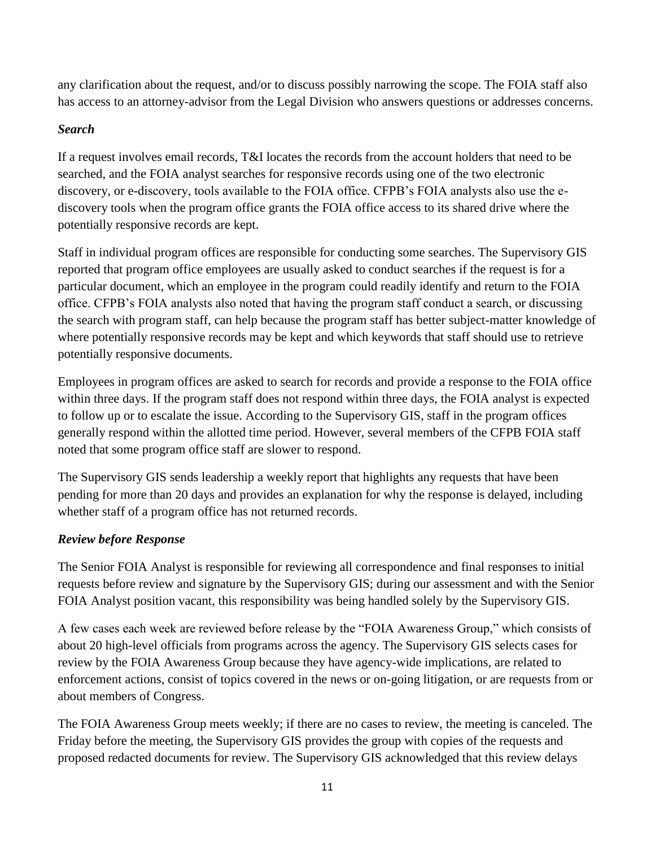any clarification about the request, and/or to discuss possibly narrowing the scope. The FOIA staff also has access to an attorney-advisor from the Legal Division who answers questions or addresses concerns.

# *Search*

If a request involves email records, T&I locates the records from the account holders that need to be searched, and the FOIA analyst searches for responsive records using one of the two electronic discovery, or e-discovery, tools available to the FOIA office. CFPB's FOIA analysts also use the ediscovery tools when the program office grants the FOIA office access to its shared drive where the potentially responsive records are kept.

Staff in individual program offices are responsible for conducting some searches. The Supervisory GIS reported that program office employees are usually asked to conduct searches if the request is for a particular document, which an employee in the program could readily identify and return to the FOIA office. CFPB's FOIA analysts also noted that having the program staff conduct a search, or discussing the search with program staff, can help because the program staff has better subject-matter knowledge of where potentially responsive records may be kept and which keywords that staff should use to retrieve potentially responsive documents.

Employees in program offices are asked to search for records and provide a response to the FOIA office within three days. If the program staff does not respond within three days, the FOIA analyst is expected to follow up or to escalate the issue. According to the Supervisory GIS, staff in the program offices generally respond within the allotted time period. However, several members of the CFPB FOIA staff noted that some program office staff are slower to respond.

The Supervisory GIS sends leadership a weekly report that highlights any requests that have been pending for more than 20 days and provides an explanation for why the response is delayed, including whether staff of a program office has not returned records.

# *Review before Response*

The Senior FOIA Analyst is responsible for reviewing all correspondence and final responses to initial requests before review and signature by the Supervisory GIS; during our assessment and with the Senior FOIA Analyst position vacant, this responsibility was being handled solely by the Supervisory GIS.

A few cases each week are reviewed before release by the "FOIA Awareness Group," which consists of about 20 high-level officials from programs across the agency. The Supervisory GIS selects cases for review by the FOIA Awareness Group because they have agency-wide implications, are related to enforcement actions, consist of topics covered in the news or on-going litigation, or are requests from or about members of Congress.

The FOIA Awareness Group meets weekly; if there are no cases to review, the meeting is canceled. The Friday before the meeting, the Supervisory GIS provides the group with copies of the requests and proposed redacted documents for review. The Supervisory GIS acknowledged that this review delays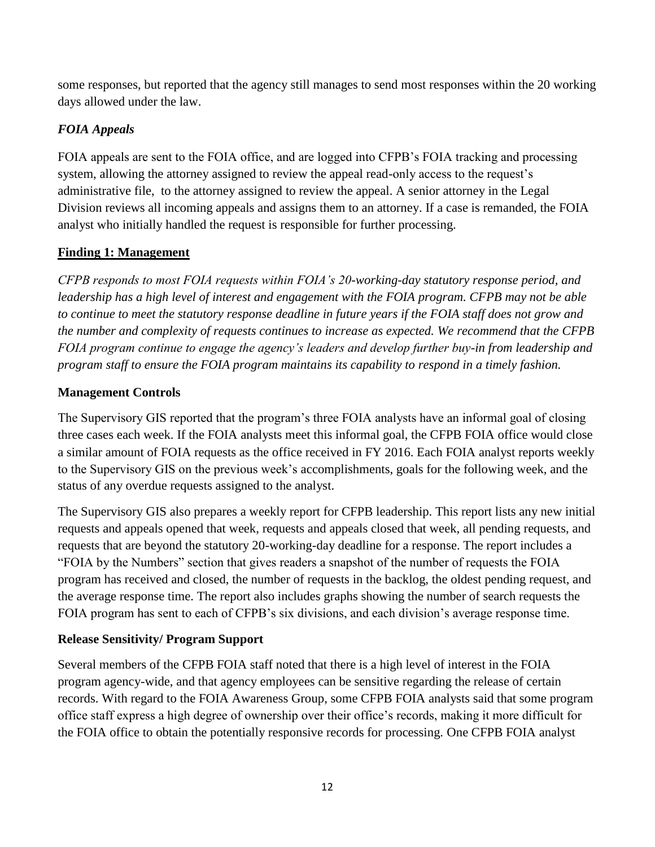some responses, but reported that the agency still manages to send most responses within the 20 working days allowed under the law.

# *FOIA Appeals*

FOIA appeals are sent to the FOIA office, and are logged into CFPB's FOIA tracking and processing system, allowing the attorney assigned to review the appeal read-only access to the request's administrative file, to the attorney assigned to review the appeal. A senior attorney in the Legal Division reviews all incoming appeals and assigns them to an attorney. If a case is remanded, the FOIA analyst who initially handled the request is responsible for further processing.

# **Finding 1: Management**

*CFPB responds to most FOIA requests within FOIA's 20-working-day statutory response period, and leadership has a high level of interest and engagement with the FOIA program. CFPB may not be able to continue to meet the statutory response deadline in future years if the FOIA staff does not grow and the number and complexity of requests continues to increase as expected. We recommend that the CFPB FOIA program continue to engage the agency's leaders and develop further buy-in from leadership and program staff to ensure the FOIA program maintains its capability to respond in a timely fashion.*

# **Management Controls**

The Supervisory GIS reported that the program's three FOIA analysts have an informal goal of closing three cases each week. If the FOIA analysts meet this informal goal, the CFPB FOIA office would close a similar amount of FOIA requests as the office received in FY 2016. Each FOIA analyst reports weekly to the Supervisory GIS on the previous week's accomplishments, goals for the following week, and the status of any overdue requests assigned to the analyst.

The Supervisory GIS also prepares a weekly report for CFPB leadership. This report lists any new initial requests and appeals opened that week, requests and appeals closed that week, all pending requests, and requests that are beyond the statutory 20-working-day deadline for a response. The report includes a "FOIA by the Numbers" section that gives readers a snapshot of the number of requests the FOIA program has received and closed, the number of requests in the backlog, the oldest pending request, and the average response time. The report also includes graphs showing the number of search requests the FOIA program has sent to each of CFPB's six divisions, and each division's average response time.

# **Release Sensitivity/ Program Support**

Several members of the CFPB FOIA staff noted that there is a high level of interest in the FOIA program agency-wide, and that agency employees can be sensitive regarding the release of certain records. With regard to the FOIA Awareness Group, some CFPB FOIA analysts said that some program office staff express a high degree of ownership over their office's records, making it more difficult for the FOIA office to obtain the potentially responsive records for processing. One CFPB FOIA analyst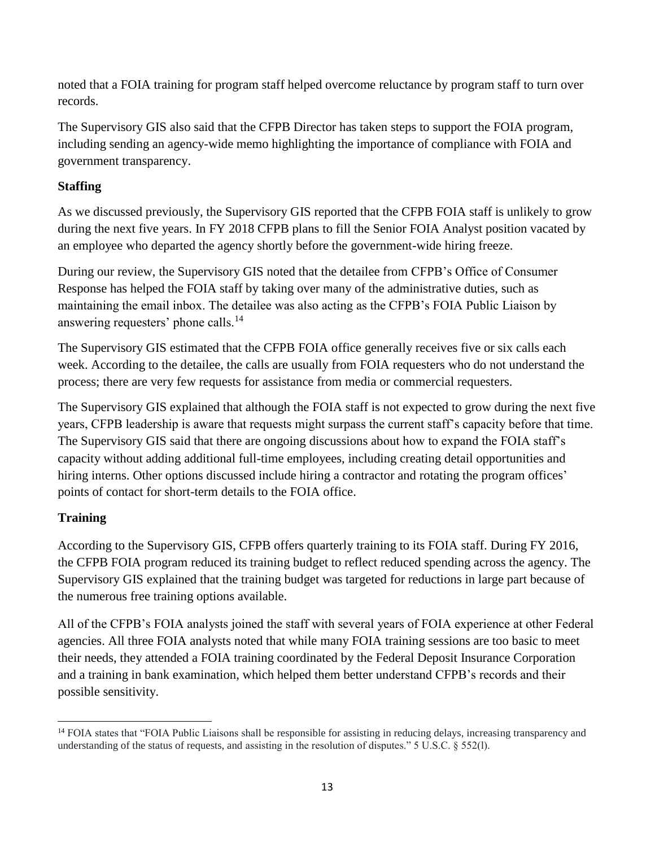noted that a FOIA training for program staff helped overcome reluctance by program staff to turn over records.

The Supervisory GIS also said that the CFPB Director has taken steps to support the FOIA program, including sending an agency-wide memo highlighting the importance of compliance with FOIA and government transparency.

# **Staffing**

As we discussed previously, the Supervisory GIS reported that the CFPB FOIA staff is unlikely to grow during the next five years. In FY 2018 CFPB plans to fill the Senior FOIA Analyst position vacated by an employee who departed the agency shortly before the government-wide hiring freeze.

During our review, the Supervisory GIS noted that the detailee from CFPB's Office of Consumer Response has helped the FOIA staff by taking over many of the administrative duties, such as maintaining the email inbox. The detailee was also acting as the CFPB's FOIA Public Liaison by answering requesters' phone calls.<sup>14</sup>

The Supervisory GIS estimated that the CFPB FOIA office generally receives five or six calls each week. According to the detailee, the calls are usually from FOIA requesters who do not understand the process; there are very few requests for assistance from media or commercial requesters.

The Supervisory GIS explained that although the FOIA staff is not expected to grow during the next five years, CFPB leadership is aware that requests might surpass the current staff's capacity before that time. The Supervisory GIS said that there are ongoing discussions about how to expand the FOIA staff's capacity without adding additional full-time employees, including creating detail opportunities and hiring interns. Other options discussed include hiring a contractor and rotating the program offices' points of contact for short-term details to the FOIA office.

# **Training**

According to the Supervisory GIS, CFPB offers quarterly training to its FOIA staff. During FY 2016, the CFPB FOIA program reduced its training budget to reflect reduced spending across the agency. The Supervisory GIS explained that the training budget was targeted for reductions in large part because of the numerous free training options available.

All of the CFPB's FOIA analysts joined the staff with several years of FOIA experience at other Federal agencies. All three FOIA analysts noted that while many FOIA training sessions are too basic to meet their needs, they attended a FOIA training coordinated by the Federal Deposit Insurance Corporation and a training in bank examination, which helped them better understand CFPB's records and their possible sensitivity.

 $\overline{a}$ <sup>14</sup> FOIA states that "FOIA Public Liaisons shall be responsible for assisting in reducing delays, increasing transparency and understanding of the status of requests, and assisting in the resolution of disputes." 5 U.S.C. § 552(l).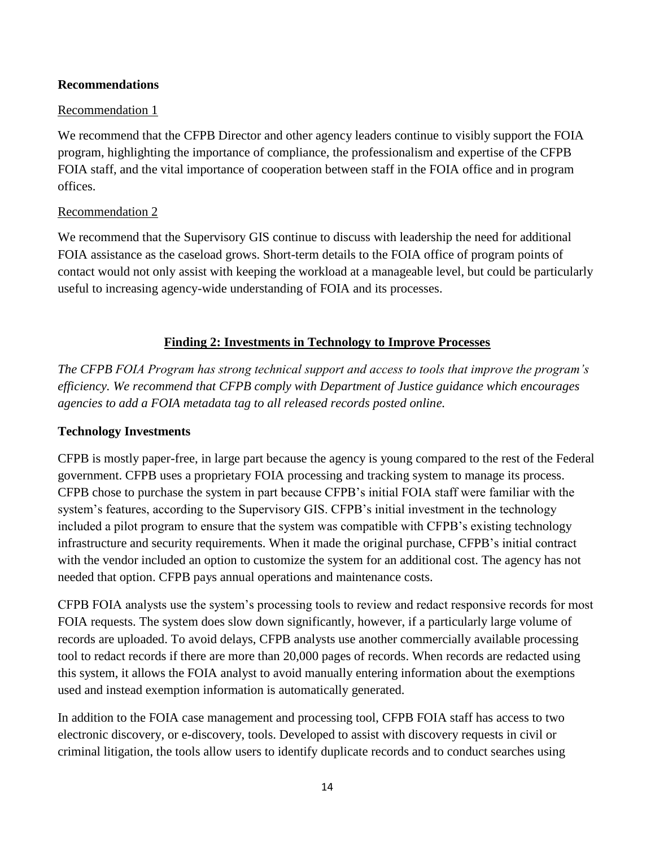#### **Recommendations**

#### Recommendation 1

We recommend that the CFPB Director and other agency leaders continue to visibly support the FOIA program, highlighting the importance of compliance, the professionalism and expertise of the CFPB FOIA staff, and the vital importance of cooperation between staff in the FOIA office and in program offices.

#### Recommendation 2

We recommend that the Supervisory GIS continue to discuss with leadership the need for additional FOIA assistance as the caseload grows. Short-term details to the FOIA office of program points of contact would not only assist with keeping the workload at a manageable level, but could be particularly useful to increasing agency-wide understanding of FOIA and its processes.

# **Finding 2: Investments in Technology to Improve Processes**

*The CFPB FOIA Program has strong technical support and access to tools that improve the program's efficiency. We recommend that CFPB comply with Department of Justice guidance which encourages agencies to add a FOIA metadata tag to all released records posted online.*

#### **Technology Investments**

CFPB is mostly paper-free, in large part because the agency is young compared to the rest of the Federal government. CFPB uses a proprietary FOIA processing and tracking system to manage its process. CFPB chose to purchase the system in part because CFPB's initial FOIA staff were familiar with the system's features, according to the Supervisory GIS. CFPB's initial investment in the technology included a pilot program to ensure that the system was compatible with CFPB's existing technology infrastructure and security requirements. When it made the original purchase, CFPB's initial contract with the vendor included an option to customize the system for an additional cost. The agency has not needed that option. CFPB pays annual operations and maintenance costs.

CFPB FOIA analysts use the system's processing tools to review and redact responsive records for most FOIA requests. The system does slow down significantly, however, if a particularly large volume of records are uploaded. To avoid delays, CFPB analysts use another commercially available processing tool to redact records if there are more than 20,000 pages of records. When records are redacted using this system, it allows the FOIA analyst to avoid manually entering information about the exemptions used and instead exemption information is automatically generated.

In addition to the FOIA case management and processing tool, CFPB FOIA staff has access to two electronic discovery, or e-discovery, tools. Developed to assist with discovery requests in civil or criminal litigation, the tools allow users to identify duplicate records and to conduct searches using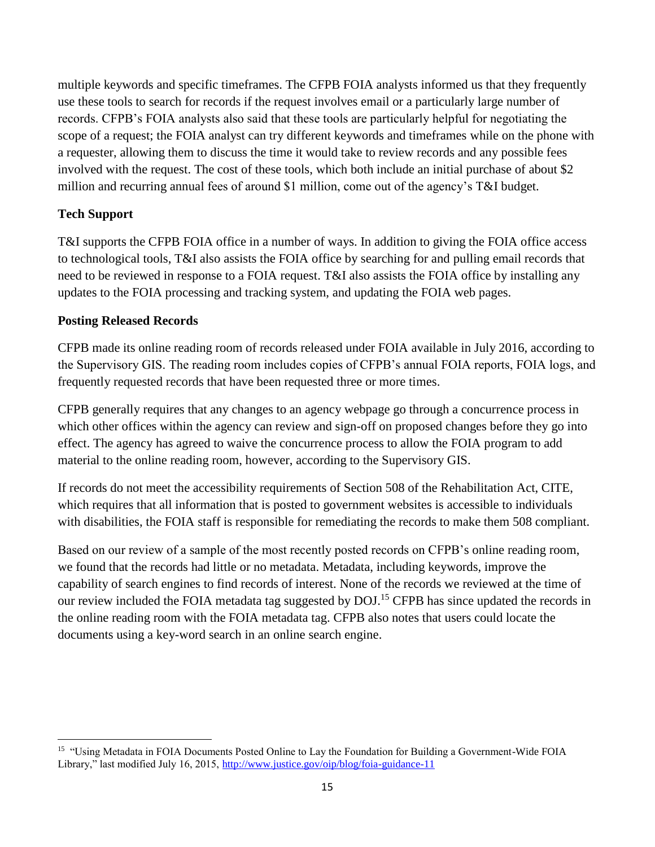multiple keywords and specific timeframes. The CFPB FOIA analysts informed us that they frequently use these tools to search for records if the request involves email or a particularly large number of records. CFPB's FOIA analysts also said that these tools are particularly helpful for negotiating the scope of a request; the FOIA analyst can try different keywords and timeframes while on the phone with a requester, allowing them to discuss the time it would take to review records and any possible fees involved with the request. The cost of these tools, which both include an initial purchase of about \$2 million and recurring annual fees of around \$1 million, come out of the agency's T&I budget.

# **Tech Support**

 $\overline{\phantom{a}}$ 

T&I supports the CFPB FOIA office in a number of ways. In addition to giving the FOIA office access to technological tools, T&I also assists the FOIA office by searching for and pulling email records that need to be reviewed in response to a FOIA request. T&I also assists the FOIA office by installing any updates to the FOIA processing and tracking system, and updating the FOIA web pages.

# **Posting Released Records**

CFPB made its online reading room of records released under FOIA available in July 2016, according to the Supervisory GIS. The reading room includes copies of CFPB's annual FOIA reports, FOIA logs, and frequently requested records that have been requested three or more times.

CFPB generally requires that any changes to an agency webpage go through a concurrence process in which other offices within the agency can review and sign-off on proposed changes before they go into effect. The agency has agreed to waive the concurrence process to allow the FOIA program to add material to the online reading room, however, according to the Supervisory GIS.

If records do not meet the accessibility requirements of Section 508 of the Rehabilitation Act, CITE, which requires that all information that is posted to government websites is accessible to individuals with disabilities, the FOIA staff is responsible for remediating the records to make them 508 compliant.

Based on our review of a sample of the most recently posted records on CFPB's online reading room, we found that the records had little or no metadata. Metadata, including keywords, improve the capability of search engines to find records of interest. None of the records we reviewed at the time of our review included the FOIA metadata tag suggested by DOJ.<sup>15</sup> CFPB has since updated the records in the online reading room with the FOIA metadata tag. CFPB also notes that users could locate the documents using a key-word search in an online search engine.

<sup>&</sup>lt;sup>15</sup> "Using Metadata in FOIA Documents Posted Online to Lay the Foundation for Building a Government-Wide FOIA Library," last modified July 16, 2015,<http://www.justice.gov/oip/blog/foia-guidance-11>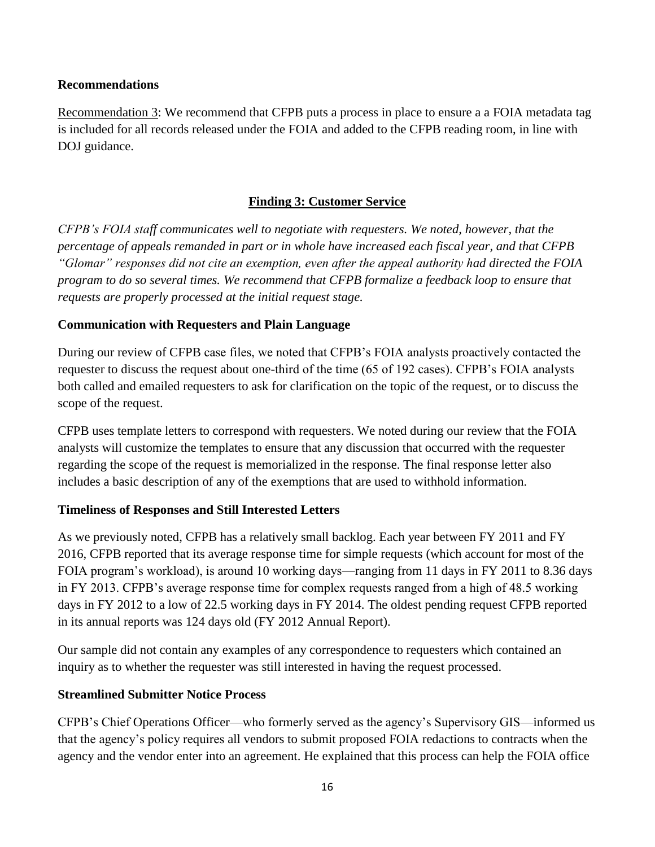#### **Recommendations**

Recommendation 3: We recommend that CFPB puts a process in place to ensure a a FOIA metadata tag is included for all records released under the FOIA and added to the CFPB reading room, in line with DOJ guidance.

# **Finding 3: Customer Service**

*CFPB's FOIA staff communicates well to negotiate with requesters. We noted, however, that the percentage of appeals remanded in part or in whole have increased each fiscal year, and that CFPB "Glomar" responses did not cite an exemption, even after the appeal authority had directed the FOIA program to do so several times. We recommend that CFPB formalize a feedback loop to ensure that requests are properly processed at the initial request stage.*

# **Communication with Requesters and Plain Language**

During our review of CFPB case files, we noted that CFPB's FOIA analysts proactively contacted the requester to discuss the request about one-third of the time (65 of 192 cases). CFPB's FOIA analysts both called and emailed requesters to ask for clarification on the topic of the request, or to discuss the scope of the request.

CFPB uses template letters to correspond with requesters. We noted during our review that the FOIA analysts will customize the templates to ensure that any discussion that occurred with the requester regarding the scope of the request is memorialized in the response. The final response letter also includes a basic description of any of the exemptions that are used to withhold information.

# **Timeliness of Responses and Still Interested Letters**

As we previously noted, CFPB has a relatively small backlog. Each year between FY 2011 and FY 2016, CFPB reported that its average response time for simple requests (which account for most of the FOIA program's workload), is around 10 working days—ranging from 11 days in FY 2011 to 8.36 days in FY 2013. CFPB's average response time for complex requests ranged from a high of 48.5 working days in FY 2012 to a low of 22.5 working days in FY 2014. The oldest pending request CFPB reported in its annual reports was 124 days old (FY 2012 Annual Report).

Our sample did not contain any examples of any correspondence to requesters which contained an inquiry as to whether the requester was still interested in having the request processed.

# **Streamlined Submitter Notice Process**

CFPB's Chief Operations Officer—who formerly served as the agency's Supervisory GIS—informed us that the agency's policy requires all vendors to submit proposed FOIA redactions to contracts when the agency and the vendor enter into an agreement. He explained that this process can help the FOIA office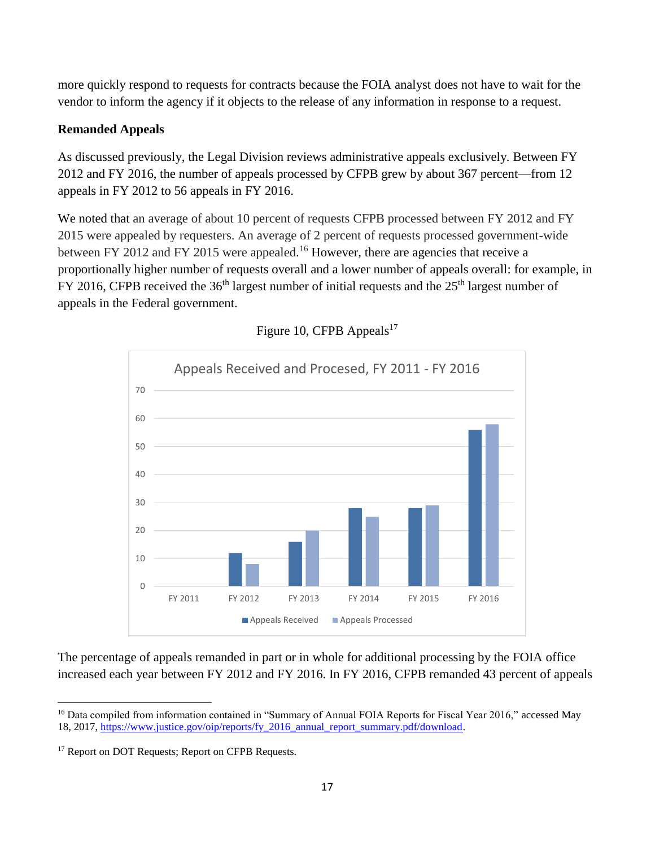more quickly respond to requests for contracts because the FOIA analyst does not have to wait for the vendor to inform the agency if it objects to the release of any information in response to a request.

# **Remanded Appeals**

As discussed previously, the Legal Division reviews administrative appeals exclusively. Between FY 2012 and FY 2016, the number of appeals processed by CFPB grew by about 367 percent—from 12 appeals in FY 2012 to 56 appeals in FY 2016.

We noted that an average of about 10 percent of requests CFPB processed between FY 2012 and FY 2015 were appealed by requesters. An average of 2 percent of requests processed government-wide between FY 2012 and FY 2015 were appealed.<sup>16</sup> However, there are agencies that receive a proportionally higher number of requests overall and a lower number of appeals overall: for example, in FY 2016, CFPB received the  $36<sup>th</sup>$  largest number of initial requests and the  $25<sup>th</sup>$  largest number of appeals in the Federal government.



Figure 10, CFPB Appeals<sup>17</sup>

The percentage of appeals remanded in part or in whole for additional processing by the FOIA office increased each year between FY 2012 and FY 2016. In FY 2016, CFPB remanded 43 percent of appeals

 $\overline{a}$ <sup>16</sup> Data compiled from information contained in "Summary of Annual FOIA Reports for Fiscal Year 2016," accessed May 18, 2017, [https://www.justice.gov/oip/reports/fy\\_2016\\_annual\\_report\\_summary.pdf/download.](https://www.justice.gov/oip/reports/fy_2016_annual_report_summary.pdf/download)

<sup>&</sup>lt;sup>17</sup> Report on DOT Requests; Report on CFPB Requests.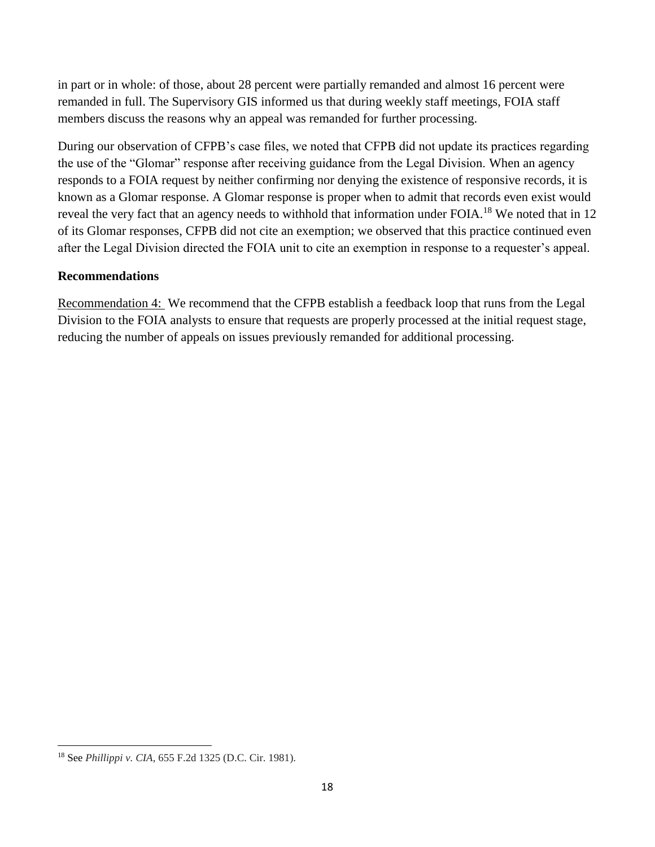in part or in whole: of those, about 28 percent were partially remanded and almost 16 percent were remanded in full. The Supervisory GIS informed us that during weekly staff meetings, FOIA staff members discuss the reasons why an appeal was remanded for further processing.

During our observation of CFPB's case files, we noted that CFPB did not update its practices regarding the use of the "Glomar" response after receiving guidance from the Legal Division. When an agency responds to a FOIA request by neither confirming nor denying the existence of responsive records, it is known as a Glomar response. A Glomar response is proper when to admit that records even exist would reveal the very fact that an agency needs to withhold that information under FOIA.<sup>18</sup> We noted that in 12 of its Glomar responses, CFPB did not cite an exemption; we observed that this practice continued even after the Legal Division directed the FOIA unit to cite an exemption in response to a requester's appeal.

# **Recommendations**

Recommendation 4: We recommend that the CFPB establish a feedback loop that runs from the Legal Division to the FOIA analysts to ensure that requests are properly processed at the initial request stage, reducing the number of appeals on issues previously remanded for additional processing.

 $\overline{a}$ <sup>18</sup> See *Phillippi v. CIA*, 655 F.2d 1325 (D.C. Cir. 1981).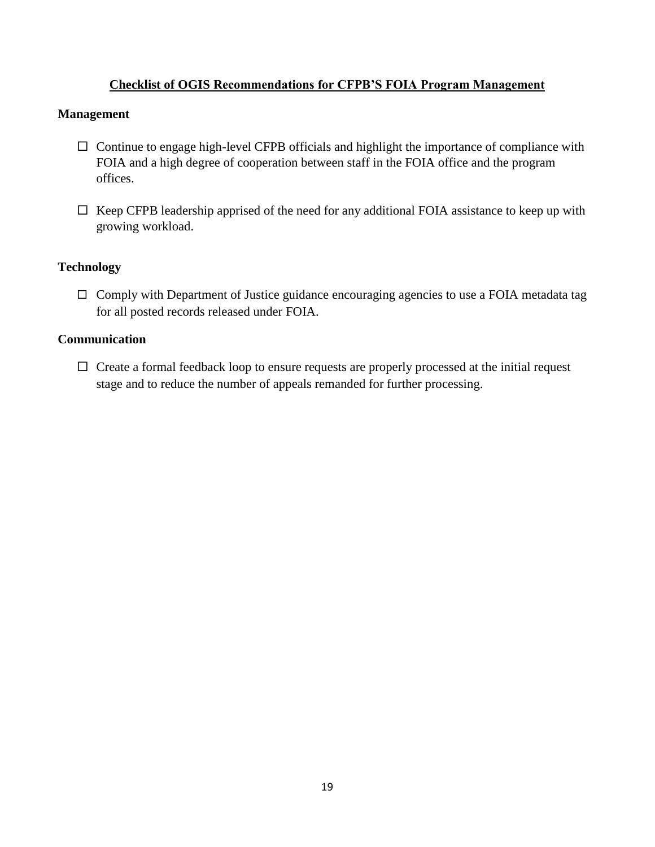#### **Checklist of OGIS Recommendations for CFPB'S FOIA Program Management**

#### **Management**

- $\Box$  Continue to engage high-level CFPB officials and highlight the importance of compliance with FOIA and a high degree of cooperation between staff in the FOIA office and the program offices.
- $\Box$  Keep CFPB leadership apprised of the need for any additional FOIA assistance to keep up with growing workload.

#### **Technology**

 $\Box$  Comply with Department of Justice guidance encouraging agencies to use a FOIA metadata tag for all posted records released under FOIA.

#### **Communication**

 $\Box$  Create a formal feedback loop to ensure requests are properly processed at the initial request stage and to reduce the number of appeals remanded for further processing.